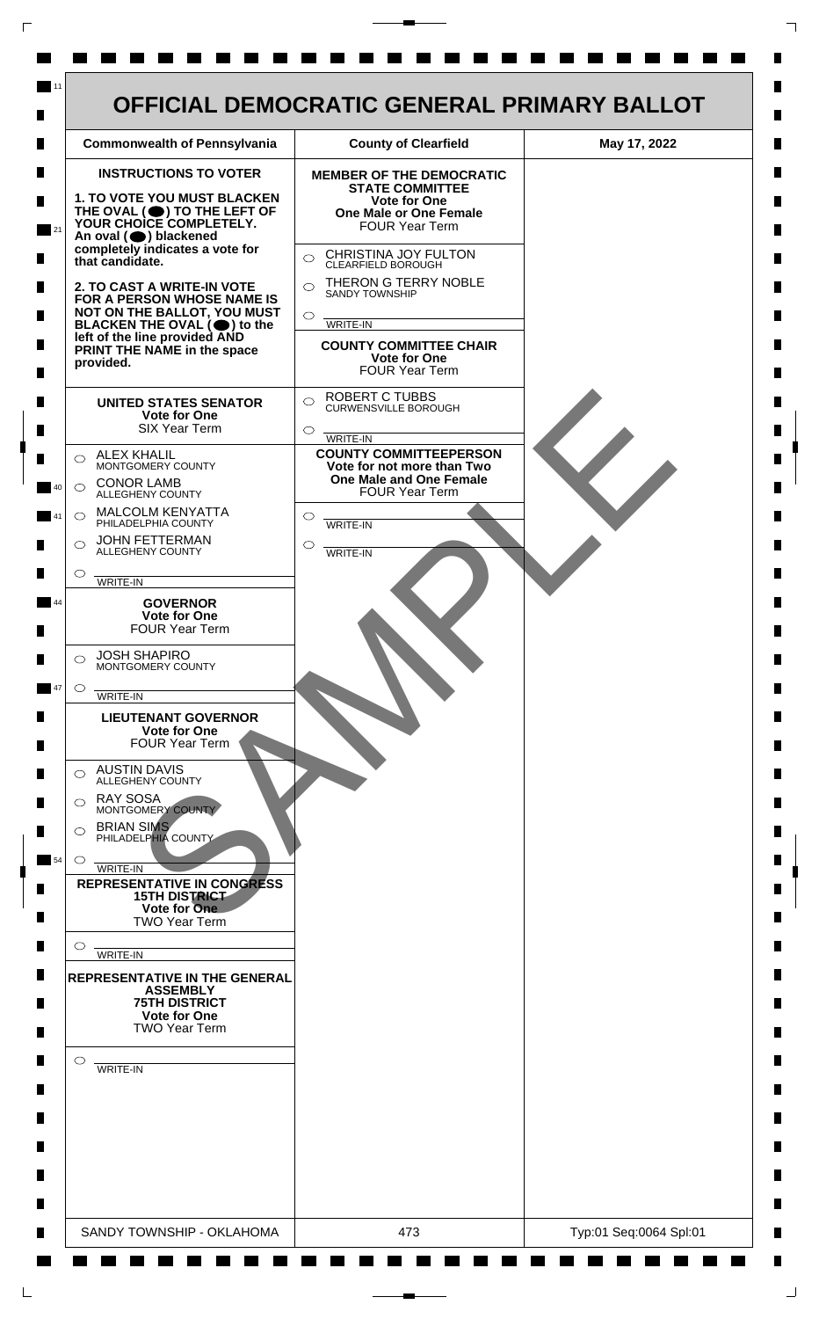

 $\mathsf{L}$ 

 $\Box$